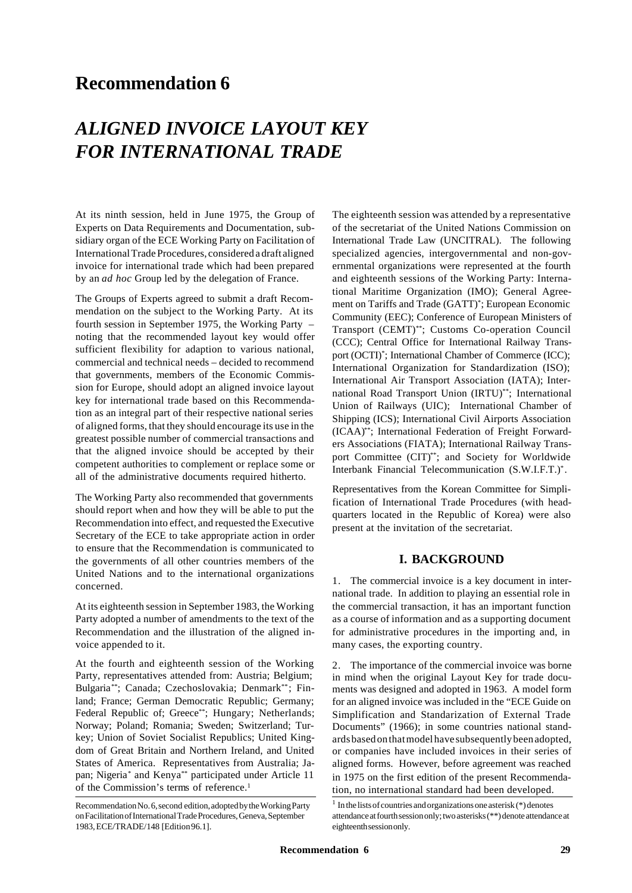## **Recommendation 6**

# *ALIGNED INVOICE LAYOUT KEY FOR INTERNATIONAL TRADE*

At its ninth session, held in June 1975, the Group of Experts on Data Requirements and Documentation, subsidiary organ of the ECE Working Party on Facilitation of International Trade Procedures, considered a draft aligned invoice for international trade which had been prepared by an *ad hoc* Group led by the delegation of France.

The Groups of Experts agreed to submit a draft Recommendation on the subject to the Working Party. At its fourth session in September 1975, the Working Party – noting that the recommended layout key would offer sufficient flexibility for adaption to various national, commercial and technical needs – decided to recommend that governments, members of the Economic Commission for Europe, should adopt an aligned invoice layout key for international trade based on this Recommendation as an integral part of their respective national series of aligned forms, that they should encourage its use in the greatest possible number of commercial transactions and that the aligned invoice should be accepted by their competent authorities to complement or replace some or all of the administrative documents required hitherto.

The Working Party also recommended that governments should report when and how they will be able to put the Recommendation into effect, and requested the Executive Secretary of the ECE to take appropriate action in order to ensure that the Recommendation is communicated to the governments of all other countries members of the United Nations and to the international organizations concerned.

At its eighteenth session in September 1983, the Working Party adopted a number of amendments to the text of the Recommendation and the illustration of the aligned invoice appended to it.

At the fourth and eighteenth session of the Working Party, representatives attended from: Austria; Belgium; Bulgaria\*\*; Canada; Czechoslovakia; Denmark\*\*; Finland; France; German Democratic Republic; Germany; Federal Republic of; Greece\*\*; Hungary; Netherlands; Norway; Poland; Romania; Sweden; Switzerland; Turkey; Union of Soviet Socialist Republics; United Kingdom of Great Britain and Northern Ireland, and United States of America. Representatives from Australia; Japan; Nigeria\* and Kenya\*\* participated under Article 11 of the Commission's terms of reference.<sup>1</sup>

The eighteenth session was attended by a representative of the secretariat of the United Nations Commission on International Trade Law (UNCITRAL). The following specialized agencies, intergovernmental and non-governmental organizations were represented at the fourth and eighteenth sessions of the Working Party: International Maritime Organization (IMO); General Agreement on Tariffs and Trade (GATT)\* ; European Economic Community (EEC); Conference of European Ministers of Transport (CEMT)\*\*; Customs Co-operation Council (CCC); Central Office for International Railway Transport (OCTI)\* ; International Chamber of Commerce (ICC); International Organization for Standardization (ISO); International Air Transport Association (IATA); International Road Transport Union (IRTU)\*\*; International Union of Railways (UIC); International Chamber of Shipping (ICS); International Civil Airports Association (ICAA)\*\*; International Federation of Freight Forwarders Associations (FIATA); International Railway Transport Committee (CIT)\*\*; and Society for Worldwide Interbank Financial Telecommunication (S.W.I.F.T.)\* .

Representatives from the Korean Committee for Simplification of International Trade Procedures (with headquarters located in the Republic of Korea) were also present at the invitation of the secretariat.

## **I. BACKGROUND**

1. The commercial invoice is a key document in international trade. In addition to playing an essential role in the commercial transaction, it has an important function as a course of information and as a supporting document for administrative procedures in the importing and, in many cases, the exporting country.

2. The importance of the commercial invoice was borne in mind when the original Layout Key for trade documents was designed and adopted in 1963. A model form for an aligned invoice was included in the "ECE Guide on Simplification and Standarization of External Trade Documents" (1966); in some countries national standards based on that model have subsequently been adopted, or companies have included invoices in their series of aligned forms. However, before agreement was reached in 1975 on the first edition of the present Recommendation, no international standard had been developed.

Recommendation No. 6, second edition, adopted by the Working Party on Facilitation of International Trade Procedures, Geneva, September 1983, ECE/TRADE/148 [Edition 96.1].

<sup>1</sup> In the lists of countries and organizations one asterisk (\*) denotes attendance at fourth session only; two asterisks (\*\*) denote attendance at eighteenth session only.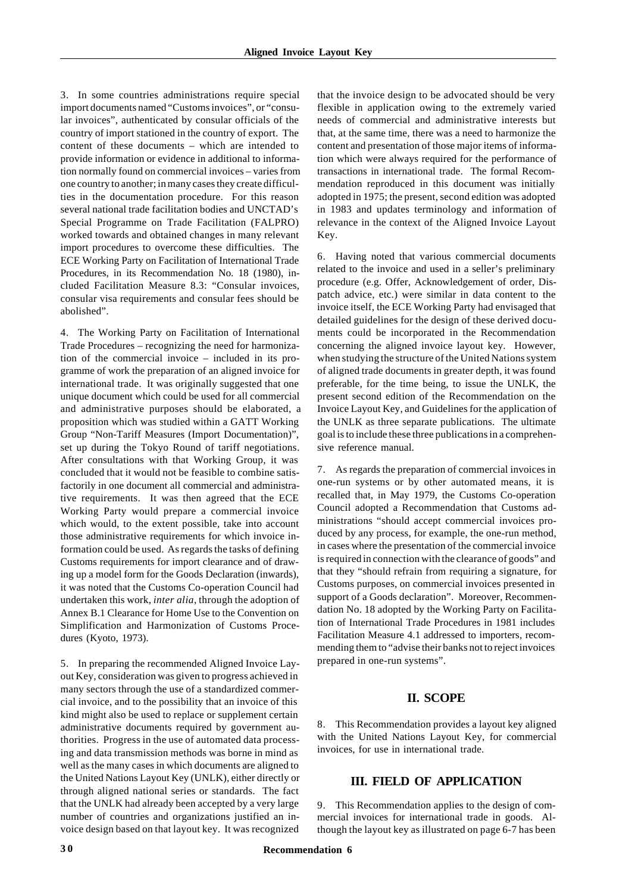3. In some countries administrations require special import documents named "Customs invoices", or "consular invoices", authenticated by consular officials of the country of import stationed in the country of export. The content of these documents – which are intended to provide information or evidence in additional to information normally found on commercial invoices – varies from one country to another; in many cases they create difficulties in the documentation procedure. For this reason several national trade facilitation bodies and UNCTAD's Special Programme on Trade Facilitation (FALPRO) worked towards and obtained changes in many relevant import procedures to overcome these difficulties. The ECE Working Party on Facilitation of International Trade Procedures, in its Recommendation No. 18 (1980), included Facilitation Measure 8.3: "Consular invoices, consular visa requirements and consular fees should be abolished".

4. The Working Party on Facilitation of International Trade Procedures – recognizing the need for harmonization of the commercial invoice – included in its programme of work the preparation of an aligned invoice for international trade. It was originally suggested that one unique document which could be used for all commercial and administrative purposes should be elaborated, a proposition which was studied within a GATT Working Group "Non-Tariff Measures (Import Documentation)", set up during the Tokyo Round of tariff negotiations. After consultations with that Working Group, it was concluded that it would not be feasible to combine satisfactorily in one document all commercial and administrative requirements. It was then agreed that the ECE Working Party would prepare a commercial invoice which would, to the extent possible, take into account those administrative requirements for which invoice information could be used. As regards the tasks of defining Customs requirements for import clearance and of drawing up a model form for the Goods Declaration (inwards), it was noted that the Customs Co-operation Council had undertaken this work, *inter alia*, through the adoption of Annex B.1 Clearance for Home Use to the Convention on Simplification and Harmonization of Customs Procedures (Kyoto, 1973).

5. In preparing the recommended Aligned Invoice Layout Key, consideration was given to progress achieved in many sectors through the use of a standardized commercial invoice, and to the possibility that an invoice of this kind might also be used to replace or supplement certain administrative documents required by government authorities. Progress in the use of automated data processing and data transmission methods was borne in mind as well as the many cases in which documents are aligned to the United Nations Layout Key (UNLK), either directly or through aligned national series or standards. The fact that the UNLK had already been accepted by a very large number of countries and organizations justified an invoice design based on that layout key. It was recognized

that the invoice design to be advocated should be very flexible in application owing to the extremely varied needs of commercial and administrative interests but that, at the same time, there was a need to harmonize the content and presentation of those major items of information which were always required for the performance of transactions in international trade. The formal Recommendation reproduced in this document was initially adopted in 1975; the present, second edition was adopted in 1983 and updates terminology and information of relevance in the context of the Aligned Invoice Layout Key.

6. Having noted that various commercial documents related to the invoice and used in a seller's preliminary procedure (e.g. Offer, Acknowledgement of order, Dispatch advice, etc.) were similar in data content to the invoice itself, the ECE Working Party had envisaged that detailed guidelines for the design of these derived documents could be incorporated in the Recommendation concerning the aligned invoice layout key. However, when studying the structure of the United Nations system of aligned trade documents in greater depth, it was found preferable, for the time being, to issue the UNLK, the present second edition of the Recommendation on the Invoice Layout Key, and Guidelines for the application of the UNLK as three separate publications. The ultimate goal is to include these three publications in a comprehensive reference manual.

7. As regards the preparation of commercial invoices in one-run systems or by other automated means, it is recalled that, in May 1979, the Customs Co-operation Council adopted a Recommendation that Customs administrations "should accept commercial invoices produced by any process, for example, the one-run method, in cases where the presentation of the commercial invoice is required in connection with the clearance of goods" and that they "should refrain from requiring a signature, for Customs purposes, on commercial invoices presented in support of a Goods declaration". Moreover, Recommendation No. 18 adopted by the Working Party on Facilitation of International Trade Procedures in 1981 includes Facilitation Measure 4.1 addressed to importers, recommending them to "advise their banks not to reject invoices prepared in one-run systems".

#### **II. SCOPE**

8. This Recommendation provides a layout key aligned with the United Nations Layout Key, for commercial invoices, for use in international trade.

## **III. FIELD OF APPLICATION**

9. This Recommendation applies to the design of commercial invoices for international trade in goods. Although the layout key as illustrated on page 6-7 has been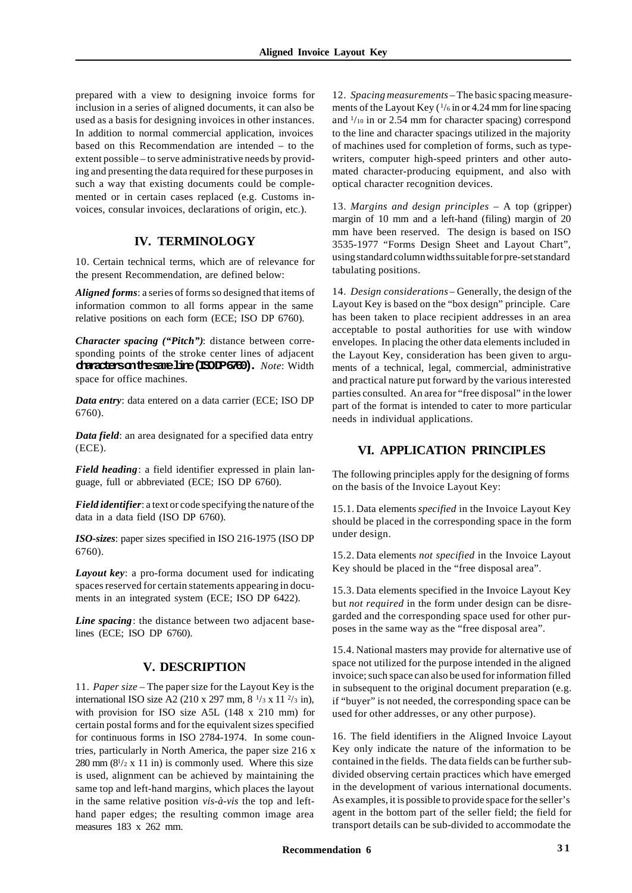prepared with a view to designing invoice forms for inclusion in a series of aligned documents, it can also be used as a basis for designing invoices in other instances. In addition to normal commercial application, invoices based on this Recommendation are intended – to the extent possible – to serve administrative needs by providing and presenting the data required for these purposes in such a way that existing documents could be complemented or in certain cases replaced (e.g. Customs invoices, consular invoices, declarations of origin, etc.).

## **IV. TERMINOLOGY**

10. Certain technical terms, which are of relevance for the present Recommendation, are defined below:

*Aligned forms*: a series of forms so designed that items of information common to all forms appear in the same relative positions on each form (ECE; ISO DP 6760).

*Character spacing ("Pitch")*: distance between corresponding points of the stroke center lines of adjacent **characters on the same line (ISO DP 6760).** *Note*: Width space for office machines.

*Data entry*: data entered on a data carrier (ECE; ISO DP 6760).

*Data field*: an area designated for a specified data entry (ECE).

*Field heading*: a field identifier expressed in plain language, full or abbreviated (ECE; ISO DP 6760).

*Field identifier*: a text or code specifying the nature of the data in a data field (ISO DP 6760).

*ISO-sizes*: paper sizes specified in ISO 216-1975 (ISO DP 6760).

*Layout key*: a pro-forma document used for indicating spaces reserved for certain statements appearing in documents in an integrated system (ECE; ISO DP 6422).

*Line spacing*: the distance between two adjacent baselines (ECE; ISO DP 6760).

#### **V. DESCRIPTION**

11. *Paper size* – The paper size for the Layout Key is the international ISO size A2 (210 x 297 mm,  $8\frac{1}{3}$  x 11  $\frac{2}{3}$  in), with provision for ISO size A5L (148 x 210 mm) for certain postal forms and for the equivalent sizes specified for continuous forms in ISO 2784-1974. In some countries, particularly in North America, the paper size 216 x 280 mm  $(8^{1}/2 \times 11)$  in) is commonly used. Where this size is used, alignment can be achieved by maintaining the same top and left-hand margins, which places the layout in the same relative position *vis-à-vis* the top and lefthand paper edges; the resulting common image area measures 183 x 262 mm.

12. *Spacing measurements* – The basic spacing measurements of the Layout Key  $(1/6)$  in or 4.24 mm for line spacing and <sup>1</sup> /10 in or 2.54 mm for character spacing) correspond to the line and character spacings utilized in the majority of machines used for completion of forms, such as typewriters, computer high-speed printers and other automated character-producing equipment, and also with optical character recognition devices.

13. *Margins and design principles* – A top (gripper) margin of 10 mm and a left-hand (filing) margin of 20 mm have been reserved. The design is based on ISO 3535-1977 "Forms Design Sheet and Layout Chart", using standard column widths suitable for pre-set standard tabulating positions.

14. *Design considerations* – Generally, the design of the Layout Key is based on the "box design" principle. Care has been taken to place recipient addresses in an area acceptable to postal authorities for use with window envelopes. In placing the other data elements included in the Layout Key, consideration has been given to arguments of a technical, legal, commercial, administrative and practical nature put forward by the various interested parties consulted. An area for "free disposal" in the lower part of the format is intended to cater to more particular needs in individual applications.

### **VI. APPLICATION PRINCIPLES**

The following principles apply for the designing of forms on the basis of the Invoice Layout Key:

15.1. Data elements *specified* in the Invoice Layout Key should be placed in the corresponding space in the form under design.

15.2. Data elements *not specified* in the Invoice Layout Key should be placed in the "free disposal area".

15.3. Data elements specified in the Invoice Layout Key but *not required* in the form under design can be disregarded and the corresponding space used for other purposes in the same way as the "free disposal area".

15.4. National masters may provide for alternative use of space not utilized for the purpose intended in the aligned invoice; such space can also be used for information filled in subsequent to the original document preparation (e.g. if "buyer" is not needed, the corresponding space can be used for other addresses, or any other purpose).

16. The field identifiers in the Aligned Invoice Layout Key only indicate the nature of the information to be contained in the fields. The data fields can be further subdivided observing certain practices which have emerged in the development of various international documents. As examples, it is possible to provide space for the seller's agent in the bottom part of the seller field; the field for transport details can be sub-divided to accommodate the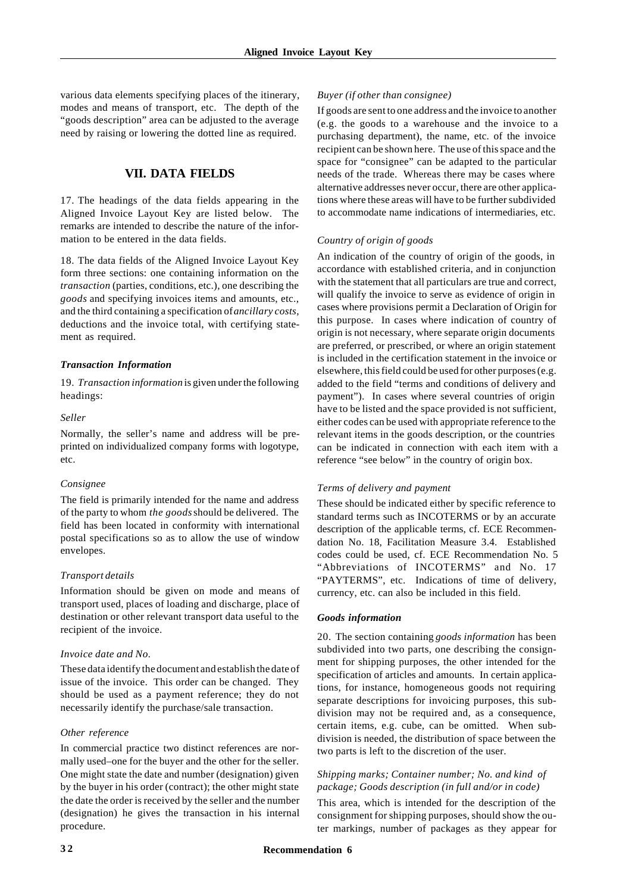various data elements specifying places of the itinerary, modes and means of transport, etc. The depth of the "goods description" area can be adjusted to the average need by raising or lowering the dotted line as required.

## **VII. DATA FIELDS**

17. The headings of the data fields appearing in the Aligned Invoice Layout Key are listed below. The remarks are intended to describe the nature of the information to be entered in the data fields.

18. The data fields of the Aligned Invoice Layout Key form three sections: one containing information on the *transaction* (parties, conditions, etc.), one describing the *goods* and specifying invoices items and amounts, etc., and the third containing a specification of *ancillary costs*, deductions and the invoice total, with certifying statement as required.

#### *Transaction Information*

19. *Transaction information* is given under the following headings:

#### *Seller*

Normally, the seller's name and address will be preprinted on individualized company forms with logotype, etc.

#### *Consignee*

The field is primarily intended for the name and address of the party to whom *the goods* should be delivered. The field has been located in conformity with international postal specifications so as to allow the use of window envelopes.

#### *Transport details*

Information should be given on mode and means of transport used, places of loading and discharge, place of destination or other relevant transport data useful to the recipient of the invoice.

#### *Invoice date and No.*

These data identify the document and establish the date of issue of the invoice. This order can be changed. They should be used as a payment reference; they do not necessarily identify the purchase/sale transaction.

#### *Other reference*

In commercial practice two distinct references are normally used–one for the buyer and the other for the seller. One might state the date and number (designation) given by the buyer in his order (contract); the other might state the date the order is received by the seller and the number (designation) he gives the transaction in his internal procedure.

#### *Buyer (if other than consignee)*

If goods are sent to one address and the invoice to another (e.g. the goods to a warehouse and the invoice to a purchasing department), the name, etc. of the invoice recipient can be shown here. The use of this space and the space for "consignee" can be adapted to the particular needs of the trade. Whereas there may be cases where alternative addresses never occur, there are other applications where these areas will have to be further subdivided to accommodate name indications of intermediaries, etc.

#### *Country of origin of goods*

An indication of the country of origin of the goods, in accordance with established criteria, and in conjunction with the statement that all particulars are true and correct, will qualify the invoice to serve as evidence of origin in cases where provisions permit a Declaration of Origin for this purpose. In cases where indication of country of origin is not necessary, where separate origin documents are preferred, or prescribed, or where an origin statement is included in the certification statement in the invoice or elsewhere, this field could be used for other purposes (e.g. added to the field "terms and conditions of delivery and payment"). In cases where several countries of origin have to be listed and the space provided is not sufficient, either codes can be used with appropriate reference to the relevant items in the goods description, or the countries can be indicated in connection with each item with a reference "see below" in the country of origin box.

#### *Terms of delivery and payment*

These should be indicated either by specific reference to standard terms such as INCOTERMS or by an accurate description of the applicable terms, cf. ECE Recommendation No. 18, Facilitation Measure 3.4. Established codes could be used, cf. ECE Recommendation No. 5 "Abbreviations of INCOTERMS" and No. 17 "PAYTERMS", etc. Indications of time of delivery, currency, etc. can also be included in this field.

#### *Goods information*

20. The section containing *goods information* has been subdivided into two parts, one describing the consignment for shipping purposes, the other intended for the specification of articles and amounts. In certain applications, for instance, homogeneous goods not requiring separate descriptions for invoicing purposes, this subdivision may not be required and, as a consequence, certain items, e.g. cube, can be omitted. When subdivision is needed, the distribution of space between the two parts is left to the discretion of the user.

#### *Shipping marks; Container number; No. and kind of package; Goods description (in full and/or in code)*

This area, which is intended for the description of the consignment for shipping purposes, should show the outer markings, number of packages as they appear for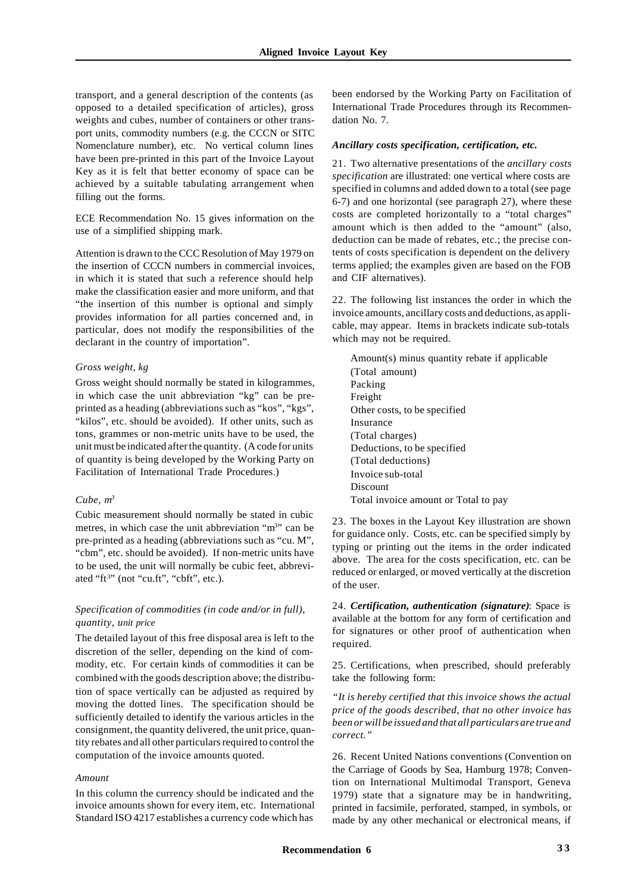transport, and a general description of the contents (as opposed to a detailed specification of articles), gross weights and cubes, number of containers or other transport units, commodity numbers (e.g. the CCCN or SITC Nomenclature number), etc. No vertical column lines have been pre-printed in this part of the Invoice Layout Key as it is felt that better economy of space can be achieved by a suitable tabulating arrangement when filling out the forms.

ECE Recommendation No. 15 gives information on the use of a simplified shipping mark.

Attention is drawn to the CCC Resolution of May 1979 on the insertion of CCCN numbers in commercial invoices, in which it is stated that such a reference should help make the classification easier and more uniform, and that "the insertion of this number is optional and simply provides information for all parties concerned and, in particular, does not modify the responsibilities of the declarant in the country of importation".

#### *Gross weight, kg*

Gross weight should normally be stated in kilogrammes, in which case the unit abbreviation "kg" can be preprinted as a heading (abbreviations such as "kos", "kgs", "kilos", etc. should be avoided). If other units, such as tons, grammes or non-metric units have to be used, the unit must be indicated after the quantity. (A code for units of quantity is being developed by the Working Party on Facilitation of International Trade Procedures.)

#### *Cube, m<sup>3</sup>*

Cubic measurement should normally be stated in cubic metres, in which case the unit abbreviation "m<sup>3</sup>" can be pre-printed as a heading (abbreviations such as "cu. M", "cbm", etc. should be avoided). If non-metric units have to be used, the unit will normally be cubic feet, abbreviated "ft<sup>3</sup>" (not "cu.ft", "cbft", etc.).

#### *Specification of commodities (in code and/or in full), quantity, unit price*

The detailed layout of this free disposal area is left to the discretion of the seller, depending on the kind of commodity, etc. For certain kinds of commodities it can be combined with the goods description above; the distribution of space vertically can be adjusted as required by moving the dotted lines. The specification should be sufficiently detailed to identify the various articles in the consignment, the quantity delivered, the unit price, quantity rebates and all other particulars required to control the computation of the invoice amounts quoted.

#### *Amount*

In this column the currency should be indicated and the invoice amounts shown for every item, etc. International Standard ISO 4217 establishes a currency code which has

been endorsed by the Working Party on Facilitation of International Trade Procedures through its Recommendation No. 7.

#### *Ancillary costs specification, certification, etc.*

21. Two alternative presentations of the *ancillary costs specification* are illustrated: one vertical where costs are specified in columns and added down to a total (see page 6-7) and one horizontal (see paragraph 27), where these costs are completed horizontally to a "total charges" amount which is then added to the "amount" (also, deduction can be made of rebates, etc.; the precise contents of costs specification is dependent on the delivery terms applied; the examples given are based on the FOB and CIF alternatives).

22. The following list instances the order in which the invoice amounts, ancillary costs and deductions, as applicable, may appear. Items in brackets indicate sub-totals which may not be required.

Amount(s) minus quantity rebate if applicable (Total amount) Packing Freight Other costs, to be specified Insurance (Total charges) Deductions, to be specified (Total deductions) Invoice sub-total Discount Total invoice amount or Total to pay

23. The boxes in the Layout Key illustration are shown for guidance only. Costs, etc. can be specified simply by typing or printing out the items in the order indicated above. The area for the costs specification, etc. can be reduced or enlarged, or moved vertically at the discretion of the user.

24. *Certification, authentication (signature)*: Space is available at the bottom for any form of certification and for signatures or other proof of authentication when required.

25. Certifications, when prescribed, should preferably take the following form:

*"It is hereby certified that this invoice shows the actual price of the goods described, that no other invoice has been or will be issued and that all particulars are true and correct."*

26. Recent United Nations conventions (Convention on the Carriage of Goods by Sea, Hamburg 1978; Convention on International Multimodal Transport, Geneva 1979) state that a signature may be in handwriting, printed in facsimile, perforated, stamped, in symbols, or made by any other mechanical or electronical means, if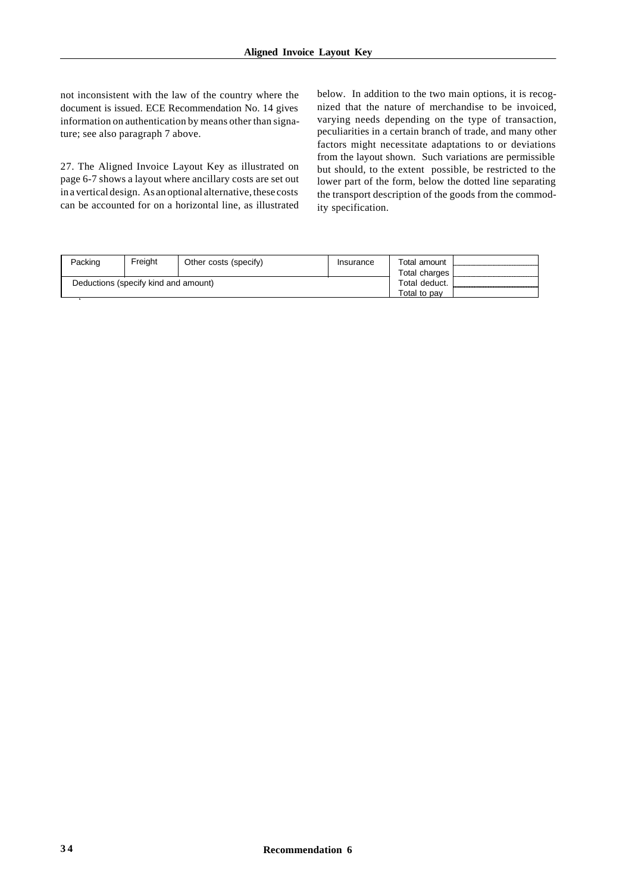not inconsistent with the law of the country where the document is issued. ECE Recommendation No. 14 gives information on authentication by means other than signature; see also paragraph 7 above.

27. The Aligned Invoice Layout Key as illustrated on page 6-7 shows a layout where ancillary costs are set out in a vertical design. As an optional alternative, these costs can be accounted for on a horizontal line, as illustrated below. In addition to the two main options, it is recognized that the nature of merchandise to be invoiced, varying needs depending on the type of transaction, peculiarities in a certain branch of trade, and many other factors might necessitate adaptations to or deviations from the layout shown. Such variations are permissible but should, to the extent possible, be restricted to the lower part of the form, below the dotted line separating the transport description of the goods from the commodity specification.

| Packing                              | Freiaht | Other costs (specify)         | Insurance | Total amount<br>Total charges L |  |
|--------------------------------------|---------|-------------------------------|-----------|---------------------------------|--|
| Deductions (specify kind and amount) |         | Total deduct.<br>Total to pav |           |                                 |  |